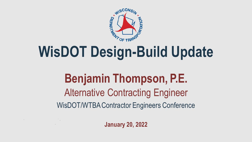

# **WisDOT Design-Build Update**

### WisDOT/WTBA Contractor Engineers Conference Alternative Contracting Engineer **Benjamin Thompson, P.E.**

**January 20, 2022**

 $\mathcal{L}(\mathcal{L}(\mathcal{L}(\mathcal{L}(\mathcal{L}(\mathcal{L}(\mathcal{L}(\mathcal{L}(\mathcal{L}(\mathcal{L}(\mathcal{L}(\mathcal{L}(\mathcal{L}(\mathcal{L}(\mathcal{L}(\mathcal{L}(\mathcal{L}(\mathcal{L}(\mathcal{L}(\mathcal{L}(\mathcal{L}(\mathcal{L}(\mathcal{L}(\mathcal{L}(\mathcal{L}(\mathcal{L}(\mathcal{L}(\mathcal{L}(\mathcal{L}(\mathcal{L}(\mathcal{L}(\mathcal{L}(\mathcal{L}(\mathcal{L}(\mathcal{L}(\mathcal{L}(\mathcal{$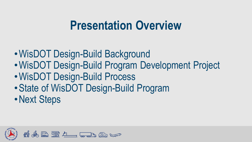## **Presentation Overview**

- WisDOT Design-Build Background
- •WisDOT Design-Build Program Development Project
- •WisDOT Design-Build Process
- •State of WisDOT Design-Build Program
- •Next Steps

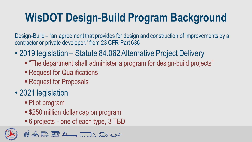# **WisDOT Design-Build Program Background**

Design-Build – "an agreement that provides for design and construction of improvements by a contractor or private developer." from 23 CFR Part 636

- 2019 legislation Statute 84.062 Alternative Project Delivery
	- "The department shall administer a program for design-build projects"
	- Request for Qualifications
	- Request for Proposals

### • 2021 legislation

- Pilot program
- \$250 million dollar cap on program
- 6 projects one of each type, 3 TBD



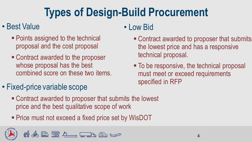# **Types of Design-Build Procurement**

#### • Best Value

- Points assigned to the technical proposal and the cost proposal
- Contract awarded to the proposer whose proposal has the best combined score on these two items.
- Fixed-price variable scope
	- Contract awarded to proposer that submits the lowest price and the best qualitative scope of work
	- Price must not exceed a fixed price set by WisDOT



#### • Low Bid

- Contract awarded to proposer that submits the lowest price and has a responsive technical proposal.
- To be responsive, the technical proposal must meet or exceed requirements specified in RFP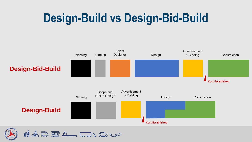# **Design-Build vs Design-Bid-Build**

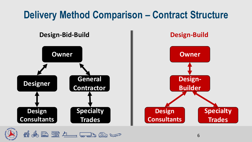### **Delivery Method Comparison – Contract Structure**

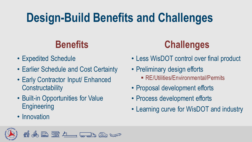# **Design-Build Benefits and Challenges**

- Expedited Schedule
- Earlier Schedule and Cost Certainty
- Early Contractor Input/ Enhanced **Constructability**
- Built-in Opportunities for Value **Engineering**
- Innovation





- Less WisDOT control over final product
- Preliminary design efforts
	- RE/Utilities/Environmental/Permits
- Proposal development efforts
- Process development efforts
- Learning curve for WisDOT and industry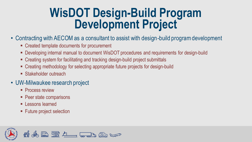### **WisDOT Design-Build Program Development Project**

- Contracting with AECOM as a consultant to assist with design-build program development
	- Created template documents for procurement
	- **Developing internal manual to document WisDOT procedures and requirements for design-build**
	- Creating system for facilitating and tracking design-build project submittals
	- Creating methodology for selecting appropriate future projects for design-build
	- **E** Stakeholder outreach
- UW-Milwaukee research project
	- **Process review**
	- Peer state comparisons
	- **Exercise** Lessons learned
	- **EXECUTE:** Future project selection

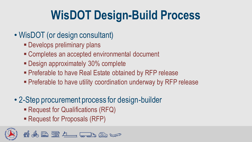# **WisDOT Design-Build Process**

- WisDOT (or design consultant)
	- **Develops preliminary plans**
	- Completes an accepted environmental document
	- **Design approximately 30% complete**
	- **Preferable to have Real Estate obtained by RFP release**
	- **Preferable to have utility coordination underway by RFP release**
- 2-Step procurement process for design-builder
	- Request for Qualifications (RFQ)
	- Request for Proposals (RFP)

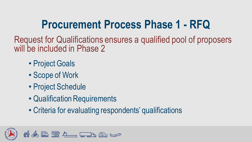# **Procurement Process Phase 1 - RFQ**

Request for Qualifications ensures a qualified pool of proposers will be included in Phase 2

- Project Goals
- Scope of Work
- Project Schedule
- Qualification Requirements
- Criteria for evaluating respondents' qualifications

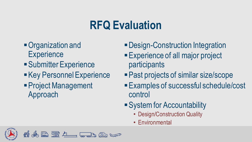# **RFQ Evaluation**

- Organization and **Experience**
- Submitter Experience
- **Experience**
- **Project Management** Approach
- Design-Construction Integration
- **Experience of all major project** participants
- Past projects of similar size/scope
- **Examples of successful schedule/cost** control
- **System for Accountability** 
	- Design/Construction Quality
	- Environmental

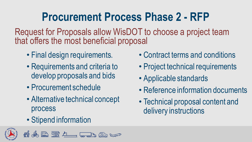# **Procurement Process Phase 2 - RFP**

Request for Proposals allow WisDOT to choose a project team that offers the most beneficial proposal

- Final design requirements.
- Requirements and criteria to develop proposals and bids
- Procurement schedule
- Alternative technical concept process
- Stipend information





- Contract terms and conditions
- Project technical requirements
- Applicable standards
- Reference information documents
- Technical proposal content and delivery instructions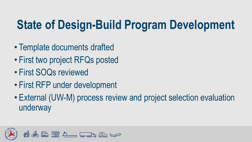# **State of Design-Build Program Development**

- Template documents drafted
- First two project RFQs posted
- First SOQs reviewed
- First RFP under development
- External (UW-M) process review and project selection evaluation underway

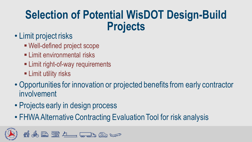### **Selection of Potential WisDOT Design-Build Projects**

- Limit project risks
	- Well-defined project scope
	- **ELimit environmental risks**
	- **Example 1 Limit right-of-way requirements**
	- **Example 1** Limit utility risks
- Opportunities for innovation or projected benefits from early contractor involvement
- Projects early in design process
- FHWA Alternative Contracting Evaluation Tool for risk analysis

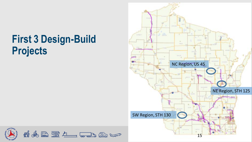### **First 3 Design-Build Projects**



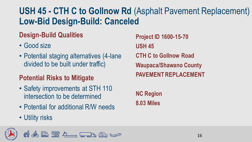### **USH 45 - CTH C to Gollnow Rd** (Asphalt Pavement Replacement) **Low-Bid Design-Build: Canceled**

#### **Design-Build Qualities**

- Good size
- Potential staging alternatives (4-lane divided to be built under traffic)

#### **Potential Risks to Mitigate**

- Safety improvements at STH 110 intersection to be determined
- Potential for additional R/W needs
- Utility risks



**Project ID 1600-15-70 USH 45 CTH C to Gollnow Road Waupaca/Shawano County PAVEMENT REPLACEMENT**

**NC Region 8.03 Miles**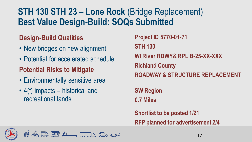#### **STH 130 STH 23 – Lone Rock** (Bridge Replacement) **Best Value Design-Build: SOQs Submitted**

#### **Design-Build Qualities**

- New bridges on new alignment
- Potential for accelerated schedule

#### **Potential Risks to Mitigate**

- Environmentally sensitive area
- 4(f) impacts historical and recreational lands

**Project ID 5770-01-71 STH 130 WI River RDWY& RPL B-25-XX-XXX Richland County ROADWAY & STRUCTURE REPLACEMENT**

**SW Region 0.7 Miles**

**Shortlist to be posted 1/21 RFP planned for advertisement 2/4**

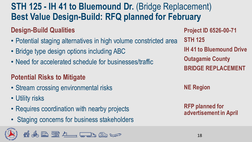### **STH 125 - IH 41 to Bluemound Dr.** (Bridge Replacement) **Best Value Design-Build: RFQ planned for February**

#### **Design-Build Qualities**

- Potential staging alternatives in high volume constricted area
- Bridge type design options including ABC
- Need for accelerated schedule for businesses/traffic

#### **Potential Risks to Mitigate**

- Stream crossing environmental risks
- Utility risks
- Requires coordination with nearby projects
- Staging concerns for business stakeholders



**Project ID 6526-00-71 STH 125 IH 41 to Bluemound Drive Outagamie County BRIDGE REPLACEMENT**

**NE Region**

**RFP planned for advertisement in April**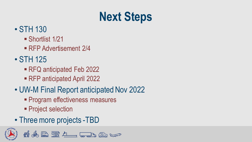# **Next Steps**

#### • STH 130

- Shortlist 1/21
- RFP Advertisement 2/4
- STH 125
	- RFQ anticipated Feb 2022
	- RFP anticipated April 2022
- UW-M Final Report anticipated Nov 2022
	- **Program effectiveness measures**

& RULL TO ALL

- **Project selection**
- Three more projects -TBD